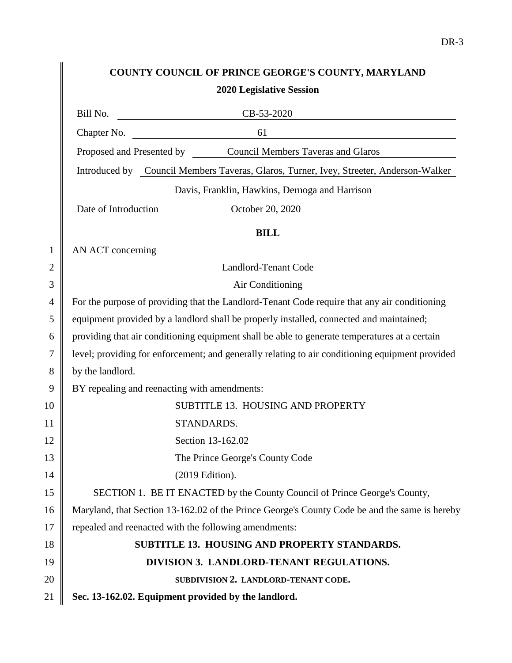## **COUNTY COUNCIL OF PRINCE GEORGE'S COUNTY, MARYLAND 2020 Legislative Session**

 $\parallel$ 

|                | CB-53-2020<br>Bill No.                                                                          |  |  |
|----------------|-------------------------------------------------------------------------------------------------|--|--|
|                | 61<br>Chapter No.<br><u> 1980 - Jan Samuel Barbara, martin di</u>                               |  |  |
|                | Proposed and Presented by Council Members Taveras and Glaros                                    |  |  |
|                | Introduced by Council Members Taveras, Glaros, Turner, Ivey, Streeter, Anderson-Walker          |  |  |
|                | Davis, Franklin, Hawkins, Dernoga and Harrison                                                  |  |  |
|                | Date of Introduction<br>October 20, 2020                                                        |  |  |
|                | <b>BILL</b>                                                                                     |  |  |
| $\mathbf{1}$   | AN ACT concerning                                                                               |  |  |
| 2              | <b>Landlord-Tenant Code</b>                                                                     |  |  |
| 3              | Air Conditioning                                                                                |  |  |
| $\overline{4}$ | For the purpose of providing that the Landlord-Tenant Code require that any air conditioning    |  |  |
| 5              | equipment provided by a landlord shall be properly installed, connected and maintained;         |  |  |
| 6              | providing that air conditioning equipment shall be able to generate temperatures at a certain   |  |  |
| 7              | level; providing for enforcement; and generally relating to air conditioning equipment provided |  |  |
| 8              | by the landlord.                                                                                |  |  |
| 9              | BY repealing and reenacting with amendments:                                                    |  |  |
| 10             | SUBTITLE 13. HOUSING AND PROPERTY                                                               |  |  |
| 11             | STANDARDS.                                                                                      |  |  |
| 12             | Section 13-162.02                                                                               |  |  |
| 13             | The Prince George's County Code                                                                 |  |  |
| 14             | (2019 Edition).                                                                                 |  |  |
| 15             | SECTION 1. BE IT ENACTED by the County Council of Prince George's County,                       |  |  |
| 16             | Maryland, that Section 13-162.02 of the Prince George's County Code be and the same is hereby   |  |  |
| 17             | repealed and reenacted with the following amendments:                                           |  |  |
| 18             | SUBTITLE 13. HOUSING AND PROPERTY STANDARDS.                                                    |  |  |
| 19             | DIVISION 3. LANDLORD-TENANT REGULATIONS.                                                        |  |  |
| 20             | SUBDIVISION 2. LANDLORD-TENANT CODE.                                                            |  |  |
| 21             | Sec. 13-162.02. Equipment provided by the landlord.                                             |  |  |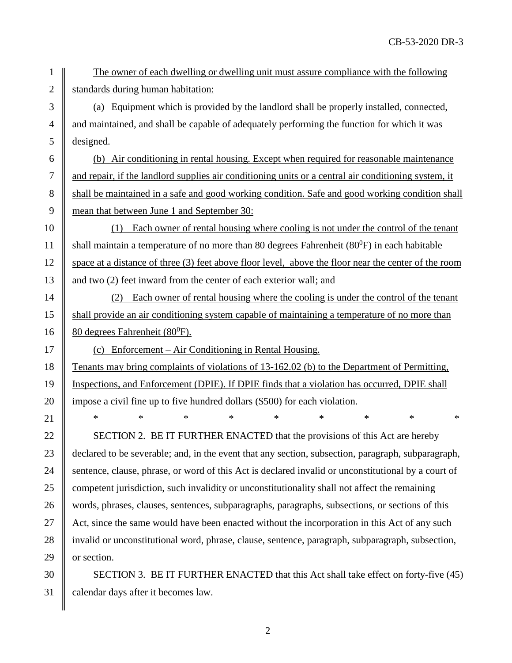1 The owner of each dwelling or dwelling unit must assure compliance with the following 2  $\parallel$  standards during human habitation:

 $3 \parallel$  (a) Equipment which is provided by the landlord shall be properly installed, connected,  $4 \parallel$  and maintained, and shall be capable of adequately performing the function for which it was 5 designed.

 $6 \parallel$  (b) Air conditioning in rental housing. Except when required for reasonable maintenance 7 and repair, if the landlord supplies air conditioning units or a central air conditioning system, it 8 shall be maintained in a safe and good working condition. Safe and good working condition shall 9 mean that between June 1 and September 30:

10 (1) Each owner of rental housing where cooling is not under the control of the tenant 11  $\parallel$  shall maintain a temperature of no more than 80 degrees Fahrenheit (80<sup>0</sup>F) in each habitable 12 space at a distance of three (3) feet above floor level, above the floor near the center of the room 13 and two (2) feet inward from the center of each exterior wall; and

14 (2) Each owner of rental housing where the cooling is under the control of the tenant 15 Shall provide an air conditioning system capable of maintaining a temperature of no more than 16 | 80 degrees Fahrenheit (80<sup>0</sup>F).

17  $\parallel$  (c) Enforcement – Air Conditioning in Rental Housing.

18 Tenants may bring complaints of violations of 13-162.02 (b) to the Department of Permitting, 19 Inspections, and Enforcement (DPIE). If DPIE finds that a violation has occurred, DPIE shall 20 | impose a civil fine up to five hundred dollars (\$500) for each violation.

21 \* \* \* \* \* \* \* \* \* \* 22  $\parallel$  SECTION 2. BE IT FURTHER ENACTED that the provisions of this Act are hereby 23 declared to be severable; and, in the event that any section, subsection, paragraph, subparagraph, 24 Sentence, clause, phrase, or word of this Act is declared invalid or unconstitutional by a court of 25 competent jurisdiction, such invalidity or unconstitutionality shall not affect the remaining 26 words, phrases, clauses, sentences, subparagraphs, paragraphs, subsections, or sections of this 27 Act, since the same would have been enacted without the incorporation in this Act of any such 28 invalid or unconstitutional word, phrase, clause, sentence, paragraph, subparagraph, subsection, 29  $\parallel$  or section.

30 SECTION 3. BE IT FURTHER ENACTED that this Act shall take effect on forty-five (45) 31 calendar days after it becomes law.